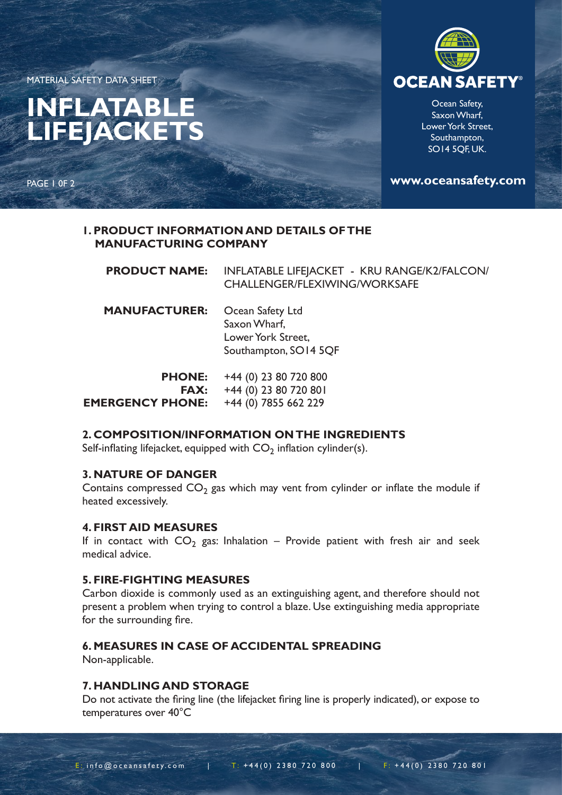MATERIAL SAFETY DATA SHEET

# **INFLATABLE LIFEJACKETS**

PAGE 1 0F 2



Ocean Safety, Saxon Wharf, Lower York Street, Southampton, SO14 5QF, UK.

**www.oceansafety.com**

## **1. PRODUCT INFORMATION AND DETAILS OF THE MANUFACTURING COMPANY**

| <b>PRODUCT NAME:</b>                                    | INFLATABLE LIFEJACKET - KRU RANGE/K2/FALCON/<br>CHALLENGER/FLEXIWING/WORKSAFE   |
|---------------------------------------------------------|---------------------------------------------------------------------------------|
| <b>MANUFACTURER:</b>                                    | Ocean Safety Ltd<br>Saxon Wharf,<br>Lower York Street,<br>Southampton, SO14 5QF |
| <b>PHONE:</b><br><b>FAX:</b><br><b>EMERGENCY PHONE:</b> | +44 (0) 23 80 720 800<br>+44 (0) 23 80 720 801<br>+44 (0) 7855 662 229          |

# **2. COMPOSITION/INFORMATION ON THE INGREDIENTS**

Self-inflating lifejacket, equipped with  $CO<sub>2</sub>$  inflation cylinder(s).

#### **3. NATURE OF DANGER**

Contains compressed  $CO<sub>2</sub>$  gas which may vent from cylinder or inflate the module if heated excessively.

#### **4. FIRST AID MEASURES**

If in contact with  $CO_2$  gas: Inhalation – Provide patient with fresh air and seek medical advice.

#### **5. FIRE-FIGHTING MEASURES**

Carbon dioxide is commonly used as an extinguishing agent, and therefore should not present a problem when trying to control a blaze. Use extinguishing media appropriate for the surrounding fire.

# **6. MEASURES IN CASE OF ACCIDENTAL SPREADING**

Non-applicable.

#### **7. HANDLING AND STORAGE**

Do not activate the firing line (the lifejacket firing line is properly indicated), or expose to temperatures over 40°C